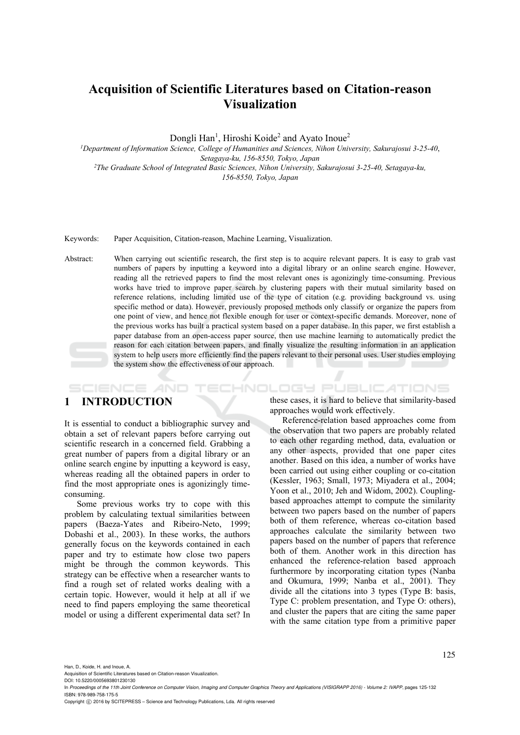# **Acquisition of Scientific Literatures based on Citation-reason Visualization**

Dongli Han<sup>1</sup>, Hiroshi Koide<sup>2</sup> and Ayato Inoue<sup>2</sup>

*1Department of Information Science, College of Humanities and Sciences, Nihon University, Sakurajosui 3-25-40*, *Setagaya-ku, 156-8550, Tokyo, Japan 2The Graduate School of Integrated Basic Sciences, Nihon University, Sakurajosui 3-25-40, Setagaya-ku, 156-8550, Tokyo, Japan* 

Keywords: Paper Acquisition, Citation-reason, Machine Learning, Visualization.

Abstract: When carrying out scientific research, the first step is to acquire relevant papers. It is easy to grab vast numbers of papers by inputting a keyword into a digital library or an online search engine. However, reading all the retrieved papers to find the most relevant ones is agonizingly time-consuming. Previous works have tried to improve paper search by clustering papers with their mutual similarity based on reference relations, including limited use of the type of citation (e.g. providing background vs. using specific method or data). However, previously proposed methods only classify or organize the papers from one point of view, and hence not flexible enough for user or context-specific demands. Moreover, none of the previous works has built a practical system based on a paper database. In this paper, we first establish a paper database from an open-access paper source, then use machine learning to automatically predict the reason for each citation between papers, and finally visualize the resulting information in an application system to help users more efficiently find the papers relevant to their personal uses. User studies employing the system show the effectiveness of our approach.

## **1 INTRODUCTION**

SCIENCE *A*ND

It is essential to conduct a bibliographic survey and obtain a set of relevant papers before carrying out scientific research in a concerned field. Grabbing a great number of papers from a digital library or an online search engine by inputting a keyword is easy, whereas reading all the obtained papers in order to find the most appropriate ones is agonizingly timeconsuming.

Some previous works try to cope with this problem by calculating textual similarities between papers (Baeza-Yates and Ribeiro-Neto, 1999; Dobashi et al., 2003). In these works, the authors generally focus on the keywords contained in each paper and try to estimate how close two papers might be through the common keywords. This strategy can be effective when a researcher wants to find a rough set of related works dealing with a certain topic. However, would it help at all if we need to find papers employing the same theoretical model or using a different experimental data set? In these cases, it is hard to believe that similarity-based approaches would work effectively.

TECHNOLOGY PUBLICATIONS

Reference-relation based approaches come from the observation that two papers are probably related to each other regarding method, data, evaluation or any other aspects, provided that one paper cites another. Based on this idea, a number of works have been carried out using either coupling or co-citation (Kessler, 1963; Small, 1973; Miyadera et al., 2004; Yoon et al., 2010; Jeh and Widom, 2002). Couplingbased approaches attempt to compute the similarity between two papers based on the number of papers both of them reference, whereas co-citation based approaches calculate the similarity between two papers based on the number of papers that reference both of them. Another work in this direction has enhanced the reference-relation based approach furthermore by incorporating citation types (Nanba and Okumura, 1999; Nanba et al., 2001). They divide all the citations into 3 types (Type B: basis, Type C: problem presentation, and Type O: others), and cluster the papers that are citing the same paper with the same citation type from a primitive paper

Han, D., Koide, H. and Inoue, A.

Acquisition of Scientific Literatures based on Citation-reason Visualization.

DOI: 10.5220/0005693801230130

In *Proceedings of the 11th Joint Conference on Computer Vision, Imaging and Computer Graphics Theory and Applications (VISIGRAPP 2016) - Volume 2: IVAPP*, pages 125-132 ISBN: 978-989-758-175-5

Copyright © 2016 by SCITEPRESS - Science and Technology Publications, Lda. All rights reserved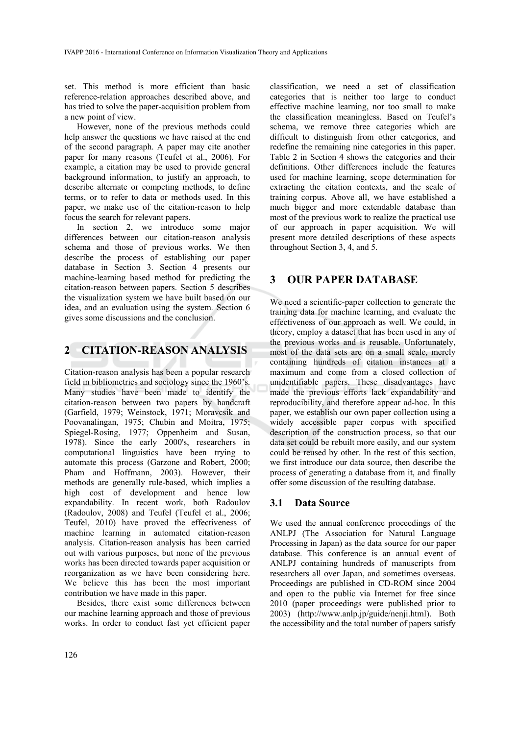set. This method is more efficient than basic reference-relation approaches described above, and has tried to solve the paper-acquisition problem from a new point of view.

However, none of the previous methods could help answer the questions we have raised at the end of the second paragraph. A paper may cite another paper for many reasons (Teufel et al., 2006). For example, a citation may be used to provide general background information, to justify an approach, to describe alternate or competing methods, to define terms, or to refer to data or methods used. In this paper, we make use of the citation-reason to help focus the search for relevant papers.

In section 2, we introduce some major differences between our citation-reason analysis schema and those of previous works. We then describe the process of establishing our paper database in Section 3. Section 4 presents our machine-learning based method for predicting the citation-reason between papers. Section 5 describes the visualization system we have built based on our idea, and an evaluation using the system. Section 6 gives some discussions and the conclusion.

# **2 CITATION-REASON ANALYSIS**

Citation-reason analysis has been a popular research field in bibliometrics and sociology since the 1960's. Many studies have been made to identify the citation-reason between two papers by handcraft (Garfield, 1979; Weinstock, 1971; Moravcsik and Poovanalingan, 1975; Chubin and Moitra, 1975; Spiegel-Rosing, 1977; Oppenheim and Susan, 1978). Since the early 2000's, researchers in computational linguistics have been trying to automate this process (Garzone and Robert, 2000; Pham and Hoffmann, 2003). However, their methods are generally rule-based, which implies a high cost of development and hence low expandability. In recent work, both Radoulov (Radoulov, 2008) and Teufel (Teufel et al., 2006; Teufel, 2010) have proved the effectiveness of machine learning in automated citation-reason analysis. Citation-reason analysis has been carried out with various purposes, but none of the previous works has been directed towards paper acquisition or reorganization as we have been considering here. We believe this has been the most important contribution we have made in this paper.

Besides, there exist some differences between our machine learning approach and those of previous works. In order to conduct fast yet efficient paper

classification, we need a set of classification categories that is neither too large to conduct effective machine learning, nor too small to make the classification meaningless. Based on Teufel's schema, we remove three categories which are difficult to distinguish from other categories, and redefine the remaining nine categories in this paper. Table 2 in Section 4 shows the categories and their definitions. Other differences include the features used for machine learning, scope determination for extracting the citation contexts, and the scale of training corpus. Above all, we have established a much bigger and more extendable database than most of the previous work to realize the practical use of our approach in paper acquisition. We will present more detailed descriptions of these aspects throughout Section 3, 4, and 5.

### **3 OUR PAPER DATABASE**

We need a scientific-paper collection to generate the training data for machine learning, and evaluate the effectiveness of our approach as well. We could, in theory, employ a dataset that has been used in any of the previous works and is reusable. Unfortunately, most of the data sets are on a small scale, merely containing hundreds of citation instances at a maximum and come from a closed collection of unidentifiable papers. These disadvantages have made the previous efforts lack expandability and reproducibility, and therefore appear ad-hoc. In this paper, we establish our own paper collection using a widely accessible paper corpus with specified description of the construction process, so that our data set could be rebuilt more easily, and our system could be reused by other. In the rest of this section, we first introduce our data source, then describe the process of generating a database from it, and finally offer some discussion of the resulting database.

#### **3.1 Data Source**

We used the annual conference proceedings of the ANLPJ (The Association for Natural Language Processing in Japan) as the data source for our paper database. This conference is an annual event of ANLPJ containing hundreds of manuscripts from researchers all over Japan, and sometimes overseas. Proceedings are published in CD-ROM since 2004 and open to the public via Internet for free since 2010 (paper proceedings were published prior to 2003) (http://www.anlp.jp/guide/nenji.html). Both the accessibility and the total number of papers satisfy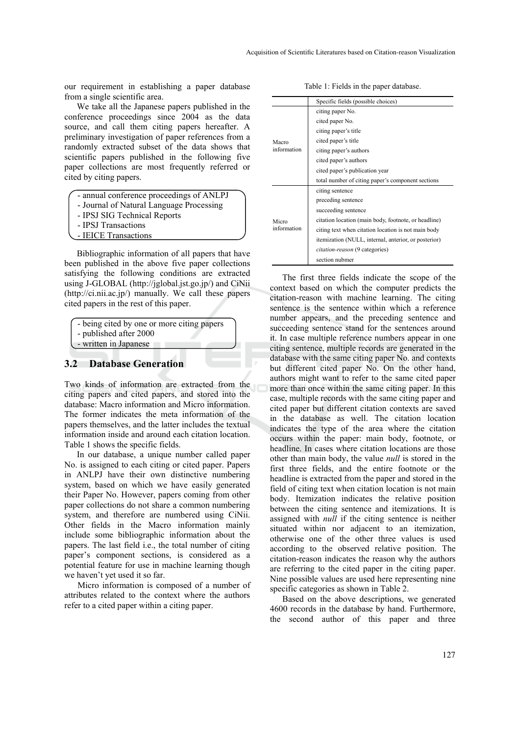our requirement in establishing a paper database from a single scientific area.

We take all the Japanese papers published in the conference proceedings since 2004 as the data source, and call them citing papers hereafter. A preliminary investigation of paper references from a randomly extracted subset of the data shows that scientific papers published in the following five paper collections are most frequently referred or cited by citing papers.

- annual conference proceedings of ANLPJ
- Journal of Natural Language Processing
- IPSJ SIG Technical Reports
- IPSJ Transactions
- IEICE Transactions

Bibliographic information of all papers that have been published in the above five paper collections satisfying the following conditions are extracted using J-GLOBAL (http://jglobal.jst.go.jp/) and CiNii (http://ci.nii.ac.jp/) manually. We call these papers cited papers in the rest of this paper.

| - being cited by one or more citing papers |
|--------------------------------------------|
| - published after 2000                     |
| - written in Japanese                      |

#### **3.2 Database Generation**

Two kinds of information are extracted from the citing papers and cited papers, and stored into the database: Macro information and Micro information. The former indicates the meta information of the papers themselves, and the latter includes the textual information inside and around each citation location. Table 1 shows the specific fields.

In our database, a unique number called paper No. is assigned to each citing or cited paper. Papers in ANLPJ have their own distinctive numbering system, based on which we have easily generated their Paper No. However, papers coming from other paper collections do not share a common numbering system, and therefore are numbered using CiNii. Other fields in the Macro information mainly include some bibliographic information about the papers. The last field i.e., the total number of citing paper's component sections, is considered as a potential feature for use in machine learning though we haven't yet used it so far.

Micro information is composed of a number of attributes related to the context where the authors refer to a cited paper within a citing paper.

 Specific fields (possible choices) Macro information citing paper No. cited paper No. citing paper's title cited paper's title citing paper's authors cited paper's authors cited paper's publication year total number of citing paper's component sections Micro information citing sentence preceding sentence succeeding sentence citation location (main body, footnote, or headline) citing text when citation location is not main body itemization (NULL, internal, anterior, or posterior) *citation-reason* (9 categories) section nubmer

The first three fields indicate the scope of the context based on which the computer predicts the citation-reason with machine learning. The citing sentence is the sentence within which a reference number appears, and the preceding sentence and succeeding sentence stand for the sentences around it. In case multiple reference numbers appear in one citing sentence, multiple records are generated in the database with the same citing paper No. and contexts but different cited paper No. On the other hand, authors might want to refer to the same cited paper more than once within the same citing paper. In this case, multiple records with the same citing paper and cited paper but different citation contexts are saved in the database as well. The citation location indicates the type of the area where the citation occurs within the paper: main body, footnote, or headline. In cases where citation locations are those other than main body, the value *null* is stored in the first three fields, and the entire footnote or the headline is extracted from the paper and stored in the field of citing text when citation location is not main body. Itemization indicates the relative position between the citing sentence and itemizations. It is assigned with *null* if the citing sentence is neither situated within nor adjacent to an itemization, otherwise one of the other three values is used according to the observed relative position. The citation-reason indicates the reason why the authors are referring to the cited paper in the citing paper. Nine possible values are used here representing nine specific categories as shown in Table 2.

Based on the above descriptions, we generated 4600 records in the database by hand. Furthermore, the second author of this paper and three

Table 1: Fields in the paper database.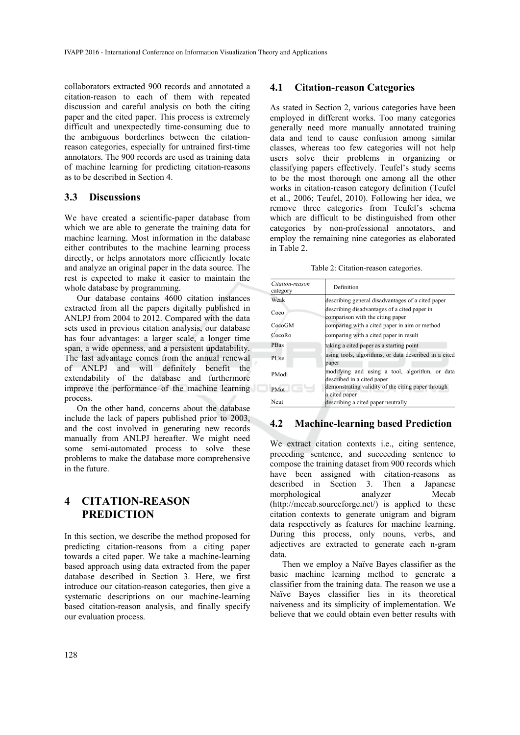collaborators extracted 900 records and annotated a citation-reason to each of them with repeated discussion and careful analysis on both the citing paper and the cited paper. This process is extremely difficult and unexpectedly time-consuming due to the ambiguous borderlines between the citationreason categories, especially for untrained first-time annotators. The 900 records are used as training data of machine learning for predicting citation-reasons as to be described in Section 4.

#### **3.3 Discussions**

We have created a scientific-paper database from which we are able to generate the training data for machine learning. Most information in the database either contributes to the machine learning process directly, or helps annotators more efficiently locate and analyze an original paper in the data source. The rest is expected to make it easier to maintain the whole database by programming.

Our database contains 4600 citation instances extracted from all the papers digitally published in ANLPJ from 2004 to 2012. Compared with the data sets used in previous citation analysis, our database has four advantages: a larger scale, a longer time span, a wide openness, and a persistent updatability. The last advantage comes from the annual renewal of ANLPJ and will definitely benefit the extendability of the database and furthermore improve the performance of the machine learning process.

On the other hand, concerns about the database include the lack of papers published prior to 2003, and the cost involved in generating new records manually from ANLPJ hereafter. We might need some semi-automated process to solve these problems to make the database more comprehensive in the future.

# **4 CITATION-REASON PREDICTION**

In this section, we describe the method proposed for predicting citation-reasons from a citing paper towards a cited paper. We take a machine-learning based approach using data extracted from the paper database described in Section 3. Here, we first introduce our citation-reason categories, then give a systematic descriptions on our machine-learning based citation-reason analysis, and finally specify our evaluation process.

### **4.1 Citation-reason Categories**

As stated in Section 2, various categories have been employed in different works. Too many categories generally need more manually annotated training data and tend to cause confusion among similar classes, whereas too few categories will not help users solve their problems in organizing or classifying papers effectively. Teufel's study seems to be the most thorough one among all the other works in citation-reason category definition (Teufel et al., 2006; Teufel, 2010). Following her idea, we remove three categories from Teufel's schema which are difficult to be distinguished from other categories by non-professional annotators, and employ the remaining nine categories as elaborated in Table 2.

Table 2: Citation-reason categories.

| Citation-reason<br>category | Definition                                                                       |  |  |  |  |
|-----------------------------|----------------------------------------------------------------------------------|--|--|--|--|
| Weak                        | describing general disadvantages of a cited paper                                |  |  |  |  |
| Coco                        | describing disadvantages of a cited paper in<br>comparison with the citing paper |  |  |  |  |
| CocoGM                      | comparing with a cited paper in aim or method                                    |  |  |  |  |
| CocoRo                      | comparing with a cited paper in result                                           |  |  |  |  |
| PBas                        | taking a cited paper as a starting point                                         |  |  |  |  |
| <b>PUse</b>                 | using tools, algorithms, or data described in a cited<br>paper                   |  |  |  |  |
| PModi                       | modifying and using a tool, algorithm, or data<br>described in a cited paper     |  |  |  |  |
| <b>PMot</b>                 | demonstrating validity of the citing paper through<br>a cited paper              |  |  |  |  |
| <b>Neut</b>                 | describing a cited paper neutrally                                               |  |  |  |  |

## **4.2 Machine-learning based Prediction**

We extract citation contexts i.e., citing sentence, preceding sentence, and succeeding sentence to compose the training dataset from 900 records which have been assigned with citation-reasons as described in Section 3. Then a Japanese morphological analyzer Mecab (http://mecab.sourceforge.net/) is applied to these citation contexts to generate unigram and bigram data respectively as features for machine learning. During this process, only nouns, verbs, and adjectives are extracted to generate each n-gram data.

Then we employ a Naïve Bayes classifier as the basic machine learning method to generate a classifier from the training data. The reason we use a Naïve Bayes classifier lies in its theoretical naiveness and its simplicity of implementation. We believe that we could obtain even better results with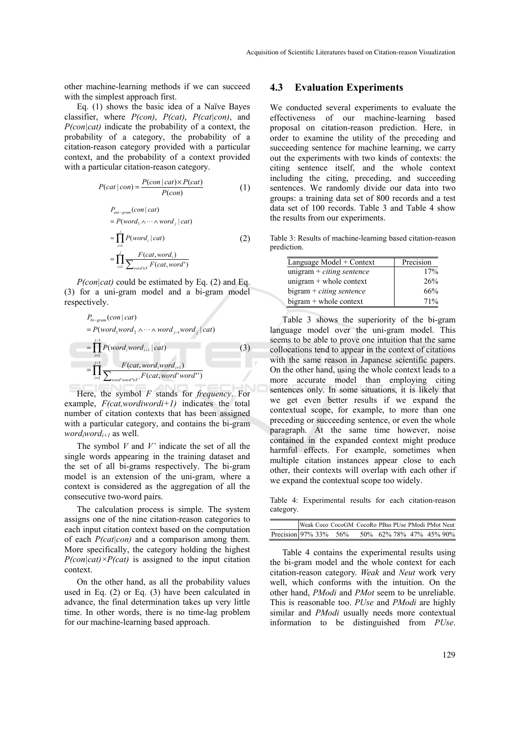other machine-learning methods if we can succeed with the simplest approach first.

Eq. (1) shows the basic idea of a Naïve Bayes classifier, where *P(con)*, *P(cat)*, *P(cat|con)*, and *P(con|cat)* indicate the probability of a context, the probability of a category, the probability of a citation-reason category provided with a particular context, and the probability of a context provided with a particular citation-reason category.

$$
P(cat | con) = \frac{P(con | cat) \times P(cat)}{P(con)}
$$
 (1)

$$
P_{uni-gram}(con | cat)
$$
  
=  $P(word_1 \land \dots \land word_j | cat)$   

$$
\approx \prod_{i=1}^{j} P(word_i | cat)
$$
 (2)  

$$
= \prod_{i=1}^{j} \frac{F(cat, word_i)}{\sum_{word \in V} F(cat, word')}
$$

*P(con|cat)* could be estimated by Eq. (2) and Eq. (3) for a uni-gram model and a bi-gram model respectively.

$$
P_{bi\text{-gram}}(con | cat)
$$
\n
$$
= P(word_1 word_2 \land \cdots \land word_{j-1} word_j | cat)
$$
\n
$$
\approx \prod_{i=1}^{j-1} P(word_i word_{i+1} | cat)
$$
\n
$$
= \prod_{i=1}^{j-1} \frac{F(cat, word_i word_{i+1})}{\sum_{word' word' \in F'} F(cat, word' word'')}
$$
\n(3)

Here, the symbol *F* stands for *frequency*. For example, *F(cat,wordiwordi+1)* indicates the total number of citation contexts that has been assigned with a particular category, and contains the bi-gram *wordiwordi+1* as well.

The symbol *V* and *V'* indicate the set of all the single words appearing in the training dataset and the set of all bi-grams respectively. The bi-gram model is an extension of the uni-gram, where a context is considered as the aggregation of all the consecutive two-word pairs.

The calculation process is simple. The system assigns one of the nine citation-reason categories to each input citation context based on the computation of each *P(cat|con)* and a comparison among them. More specifically, the category holding the highest  $P(con|cat) \times P(cat)$  is assigned to the input citation context.

On the other hand, as all the probability values used in Eq. (2) or Eq. (3) have been calculated in advance, the final determination takes up very little time. In other words, there is no time-lag problem for our machine-learning based approach.

#### **4.3 Evaluation Experiments**

We conducted several experiments to evaluate the effectiveness of our machine-learning based proposal on citation-reason prediction. Here, in order to examine the utility of the preceding and succeeding sentence for machine learning, we carry out the experiments with two kinds of contexts: the citing sentence itself, and the whole context including the citing, preceding, and succeeding sentences. We randomly divide our data into two groups: a training data set of 800 records and a test data set of 100 records. Table 3 and Table 4 show the results from our experiments.

Table 3: Results of machine-learning based citation-reason prediction.

| Language Model + Context    | Precision |
|-----------------------------|-----------|
| unigram $+$ citing sentence | 17%       |
| unigram $+$ whole context   | 26%       |
| $bigram + citing sentence$  | 66%       |
| $bigram + whole context$    | 71%       |

Table 3 shows the superiority of the bi-gram language model over the uni-gram model. This seems to be able to prove one intuition that the same collocations tend to appear in the context of citations with the same reason in Japanese scientific papers. On the other hand, using the whole context leads to a more accurate model than employing citing sentences only. In some situations, it is likely that we get even better results if we expand the contextual scope, for example, to more than one preceding or succeeding sentence, or even the whole paragraph. At the same time however, noise contained in the expanded context might produce harmful effects. For example, sometimes when multiple citation instances appear close to each other, their contexts will overlap with each other if we expand the contextual scope too widely.

Table 4: Experimental results for each citation-reason category.

|                       |  | Weak Coco CocoGM CocoRo PBas PUse PModi PMot Neut |                               |  |  |  |
|-----------------------|--|---------------------------------------------------|-------------------------------|--|--|--|
| Precision 97% 33% 56% |  |                                                   | 50\% 62\% 78\% 47\% 45\% 90\% |  |  |  |

Table 4 contains the experimental results using the bi-gram model and the whole context for each citation-reason category. *Weak* and *Neut* work very well, which conforms with the intuition. On the other hand, *PModi* and *PMot* seem to be unreliable. This is reasonable too. *PUse* and *PModi* are highly similar and *PModi* usually needs more contextual information to be distinguished from *PUse*.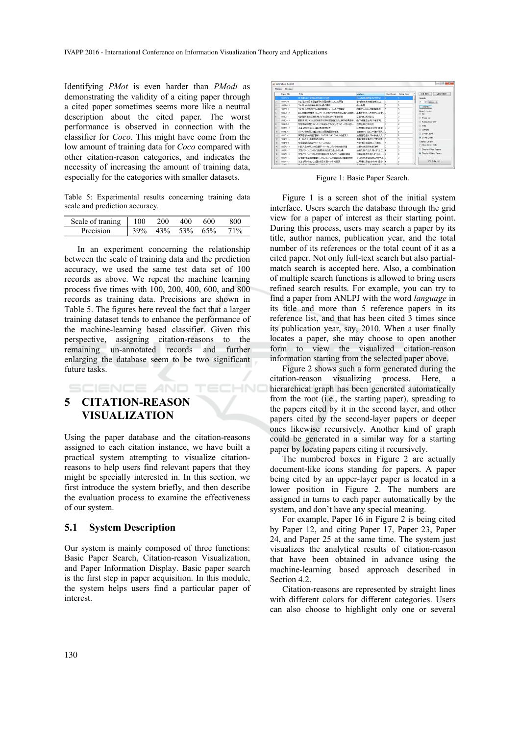Identifying *PMot* is even harder than *PModi* as demonstrating the validity of a citing paper through a cited paper sometimes seems more like a neutral description about the cited paper. The worst performance is observed in connection with the classifier for *Coco*. This might have come from the low amount of training data for *Coco* compared with other citation-reason categories, and indicates the necessity of increasing the amount of training data, especially for the categories with smaller datasets.

Table 5: Experimental results concerning training data scale and prediction accuracy.

| Scale<br>traning<br>∩t | 00 <sup>°</sup> |         | '00 | 600   |  |
|------------------------|-----------------|---------|-----|-------|--|
| 21810n                 |                 | $v_{0}$ | 53% | $5\%$ |  |

In an experiment concerning the relationship between the scale of training data and the prediction accuracy, we used the same test data set of 100 records as above. We repeat the machine learning process five times with 100, 200, 400, 600, and 800 records as training data. Precisions are shown in Table 5. The figures here reveal the fact that a larger training dataset tends to enhance the performance of the machine-learning based classifier. Given this perspective, assigning citation-reasons to the remaining un-annotated records and further enlarging the database seem to be two significant future tasks.

HNC

# **5 CITATION-REASON VISUALIZATION**

SCIENCE *A*ND

Using the paper database and the citation-reasons assigned to each citation instance, we have built a practical system attempting to visualize citationreasons to help users find relevant papers that they might be specially interested in. In this section, we first introduce the system briefly, and then describe the evaluation process to examine the effectiveness of our system.

#### **5.1 System Description**

Our system is mainly composed of three functions: Basic Paper Search, Citation-reason Visualization, and Paper Information Display. Basic paper search is the first step in paper acquisition. In this module, the system helps users find a particular paper of interest.

|    | <b>Display</b><br>Menus |                                  |                  |    |                               |                                |
|----|-------------------------|----------------------------------|------------------|----|-------------------------------|--------------------------------|
|    | Paper No.               | Title                            | Authors          |    | Cited Gount Cities Gount<br>٠ | VIEW HIST.<br>DB BATT.         |
|    | 210182-2                | 日本語は対る独活の情報と文分割                  | カ山岳商地野正和田原妃      |    |                               | Search                         |
|    | 210182-5                | ウェブ上での日本語書を取り年間支援システムの問答         | 室相格 茂木茶鍋 传路岩上。   | н  | k                             | l3.<br>$+$ case $-$            |
|    | 2102A6-5                | テキストからの読者かはを言わ読の情得               | 日本和茶             |    |                               | Search                         |
|    | 21022-1                 | テキスト処理のための固有表現接出ツールNExTの関数       | 相共文人 給水借州 電本津一   |    | k                             | Search Fields                  |
|    | 210204-2                | 原し言葉の文地界-CSJコーパスにおける文地界の定義と半角動   | 高型京作为小店店内元清食.    |    | k                             | <b>PAI</b>                     |
|    | 210303-1                | 名は関の検討体育を用いた「の」な名目に構造解析          | 禁用補出家賃支配         |    | b                             | (1) Paper No.                  |
|    | 210204-9                | 翻訳支援に有効な訳例検索の類似度計算方式と検索結果提示。     | 山下通路富士秀大倉清司。     |    | k                             | <sup>2</sup> Publication Year  |
|    | 2103P5-1                | 形態業績析器とチャンキングの経み会わせによるワイラー/歯い寄し、 | 浅原正常 检索器的        |    | k                             | <b>CO Title</b>                |
| lя | 210445-2                | 本案を用いたモンゴル陽の形態変異な                | 江原理将是用演演未材展察     |    | b                             | <b>P</b> Authors               |
| In | 210483-5                | パケーンを使用した金文祥文の日英銀眼の経理            | 前田春荒村上仁一連久和人 2   |    | k                             |                                |
| м  | 210403-7                | 管制示答机时获得解入?NTOR QAC Task3 の標案?   | 加藤恒成福本流ー科井文人     |    |                               | <b>Cited Count</b>             |
| 12 | $210405 - 4$            | ポータルサイト自動作成の試み                   | 白井:春叹卷井俊介:平野健见 1 |    |                               | @ Citing Count                 |
| 13 | 210485-1                | 多言語制限系のブラットフォームCliche            | 大会演员创新的工作下诗体。    | ı. | k                             | Display Levels                 |
| 14 | 211542-3                | 2012人名検索における翻字・サーチエンジンの事情性呼吸     | 计算方位器理中类(器師      |    |                               | Root Level Only                |
| 15 | 210562-7                | 文型パターンにおける任意要素の記述方法とその効果         | 遠藤久美子徳久縣人村上仁 4   |    | k                             | <b>Display Cited Papers</b>    |
| 18 | 210542-9                | 文型パケーンにおける名詞句翻訳のためのパケーン辞書の構築     | 2019这建筑久到人村上仁一二2 |    |                               | <b>B</b> Display Giting Papers |
| 12 | 211541-5                | 日本語2手氏録解剖形22テム(ww/S1)構築の試みと翻訳書   | 2门真任吉田设地用中图用 2   |    | b                             |                                |
| 18 | 2105A1-6                | 茶茶を用いたモンゴル読から日本語への提材録訳           | 江原螺指用田渣含木材展盘     | B  | k                             | VISUALIZE                      |

Figure 1: Basic Paper Search.

Figure 1 is a screen shot of the initial system interface. Users search the database through the grid view for a paper of interest as their starting point. During this process, users may search a paper by its title, author names, publication year, and the total number of its references or the total count of it as a cited paper. Not only full-text search but also partialmatch search is accepted here. Also, a combination of multiple search functions is allowed to bring users refined search results. For example, you can try to find a paper from ANLPJ with the word *language* in its title and more than 5 reference papers in its reference list, and that has been cited 3 times since its publication year, say, 2010. When a user finally locates a paper, she may choose to open another form to view the visualized citation-reason information starting from the selected paper above.

Figure 2 shows such a form generated during the citation-reason visualizing process. Here, a hierarchical graph has been generated automatically from the root (i.e., the starting paper), spreading to the papers cited by it in the second layer, and other papers cited by the second-layer papers or deeper ones likewise recursively. Another kind of graph could be generated in a similar way for a starting paper by locating papers citing it recursively.

The numbered boxes in Figure 2 are actually document-like icons standing for papers. A paper being cited by an upper-layer paper is located in a lower position in Figure 2. The numbers are assigned in turns to each paper automatically by the system, and don't have any special meaning.

For example, Paper 16 in Figure 2 is being cited by Paper 12, and citing Paper 17, Paper 23, Paper 24, and Paper 25 at the same time. The system just visualizes the analytical results of citation-reason that have been obtained in advance using the machine-learning based approach described in Section 4.2.

Citation-reasons are represented by straight lines with different colors for different categories. Users can also choose to highlight only one or several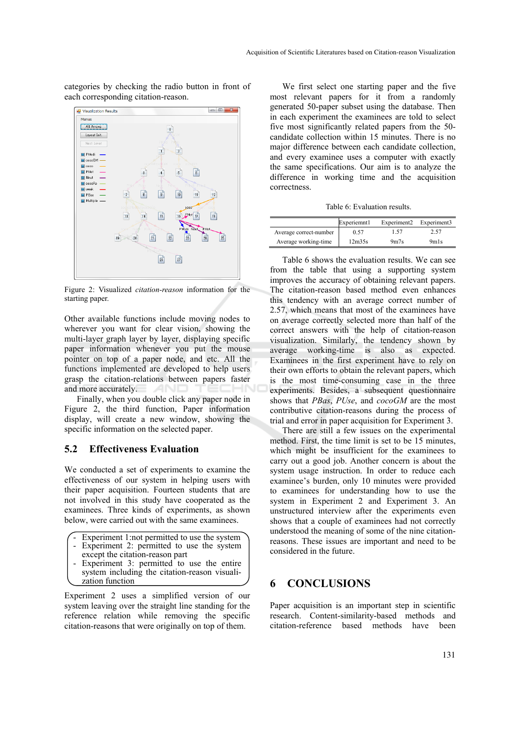categories by checking the radio button in front of each corresponding citation-reason.



Figure 2: Visualized *citation-reason* information for the starting paper.

Other available functions include moving nodes to wherever you want for clear vision, showing the multi-layer graph layer by layer, displaying specific paper information whenever you put the mouse pointer on top of a paper node, and etc. All the functions implemented are developed to help users grasp the citation-relations between papers faster and more accurately. –INI

Finally, when you double click any paper node in Figure 2, the third function, Paper information display, will create a new window, showing the specific information on the selected paper.

#### **5.2 Effectiveness Evaluation**

We conducted a set of experiments to examine the effectiveness of our system in helping users with their paper acquisition. Fourteen students that are not involved in this study have cooperated as the examinees. Three kinds of experiments, as shown below, were carried out with the same examinees.

- Experiment 1:not permitted to use the system
- Experiment 2: permitted to use the system
- except the citation-reason part
- Experiment 3: permitted to use the entire system including the citation-reason visualization function

Experiment 2 uses a simplified version of our system leaving over the straight line standing for the reference relation while removing the specific citation-reasons that were originally on top of them.

We first select one starting paper and the five most relevant papers for it from a randomly generated 50-paper subset using the database. Then in each experiment the examinees are told to select five most significantly related papers from the 50 candidate collection within 15 minutes. There is no major difference between each candidate collection, and every examinee uses a computer with exactly the same specifications. Our aim is to analyze the difference in working time and the acquisition correctness.

Table 6: Evaluation results.

|                        | Experiemnt1 | Experiment <sub>2</sub> | Experiment3 |
|------------------------|-------------|-------------------------|-------------|
| Average correct-number | 0.57        | 1.57                    | 2.57        |
| Average working-time   | 12m35s      | 9 <sub>m7s</sub>        | 9m1s        |

Table 6 shows the evaluation results. We can see from the table that using a supporting system improves the accuracy of obtaining relevant papers. The citation-reason based method even enhances this tendency with an average correct number of 2.57, which means that most of the examinees have on average correctly selected more than half of the correct answers with the help of citation-reason visualization. Similarly, the tendency shown by average working-time is also as expected. Examinees in the first experiment have to rely on their own efforts to obtain the relevant papers, which is the most time-consuming case in the three experiments. Besides, a subsequent questionnaire shows that *PBas*, *PUse*, and *cocoGM* are the most contributive citation-reasons during the process of trial and error in paper acquisition for Experiment 3.

There are still a few issues on the experimental method. First, the time limit is set to be 15 minutes, which might be insufficient for the examinees to carry out a good job. Another concern is about the system usage instruction. In order to reduce each examinee's burden, only 10 minutes were provided to examinees for understanding how to use the system in Experiment 2 and Experiment 3. An unstructured interview after the experiments even shows that a couple of examinees had not correctly understood the meaning of some of the nine citationreasons. These issues are important and need to be considered in the future.

## **6 CONCLUSIONS**

Paper acquisition is an important step in scientific research. Content-similarity-based methods and citation-reference based methods have been